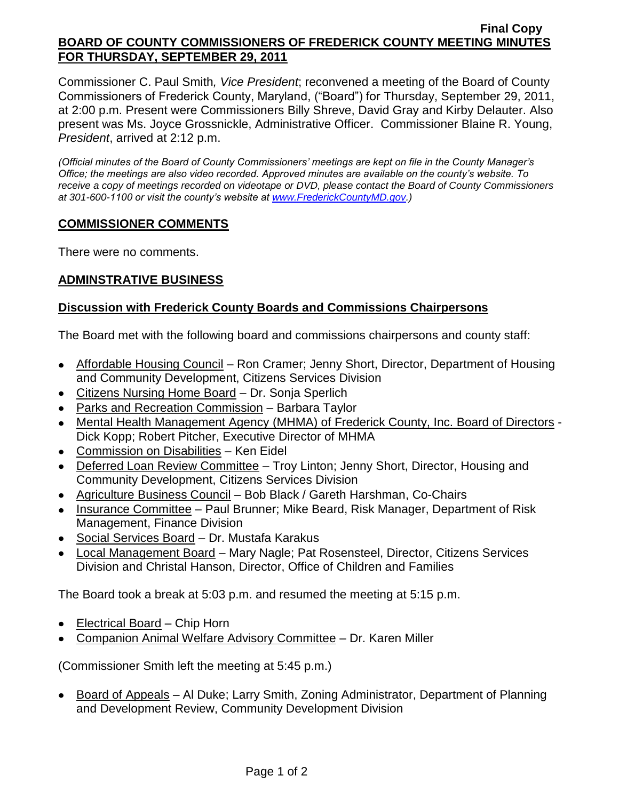#### **Final Copy BOARD OF COUNTY COMMISSIONERS OF FREDERICK COUNTY MEETING MINUTES FOR THURSDAY, SEPTEMBER 29, 2011**

Commissioner C. Paul Smith*, Vice President*; reconvened a meeting of the Board of County Commissioners of Frederick County, Maryland, ("Board") for Thursday, September 29, 2011, at 2:00 p.m. Present were Commissioners Billy Shreve, David Gray and Kirby Delauter. Also present was Ms. Joyce Grossnickle, Administrative Officer. Commissioner Blaine R. Young, *President*, arrived at 2:12 p.m.

*(Official minutes of the Board of County Commissioners' meetings are kept on file in the County Manager's Office; the meetings are also video recorded. Approved minutes are available on the county's website. To receive a copy of meetings recorded on videotape or DVD, please contact the Board of County Commissioners at 301-600-1100 or visit the county's website at [www.FrederickCountyMD.gov.](http://www.frederickcountymd.gov/))*

### **COMMISSIONER COMMENTS**

There were no comments.

# **ADMINSTRATIVE BUSINESS**

### **Discussion with Frederick County Boards and Commissions Chairpersons**

The Board met with the following board and commissions chairpersons and county staff:

- Affordable Housing Council Ron Cramer; Jenny Short, Director, Department of Housing and Community Development, Citizens Services Division
- Citizens Nursing Home Board Dr. Sonja Sperlich
- Parks and Recreation Commission Barbara Taylor
- Mental Health Management Agency (MHMA) of Frederick County, Inc. Board of Directors Dick Kopp; Robert Pitcher, Executive Director of MHMA
- Commission on Disabilities Ken Eidel
- Deferred Loan Review Committee Troy Linton; Jenny Short, Director, Housing and Community Development, Citizens Services Division
- Agriculture Business Council Bob Black / Gareth Harshman, Co-Chairs
- Insurance Committee Paul Brunner; Mike Beard, Risk Manager, Department of Risk Management, Finance Division
- Social Services Board Dr. Mustafa Karakus
- Local Management Board Mary Nagle; Pat Rosensteel, Director, Citizens Services Division and Christal Hanson, Director, Office of Children and Families

The Board took a break at 5:03 p.m. and resumed the meeting at 5:15 p.m.

- Electrical Board Chip Horn
- Companion Animal Welfare Advisory Committee Dr. Karen Miller

(Commissioner Smith left the meeting at 5:45 p.m.)

• Board of Appeals – Al Duke; Larry Smith, Zoning Administrator, Department of Planning and Development Review, Community Development Division